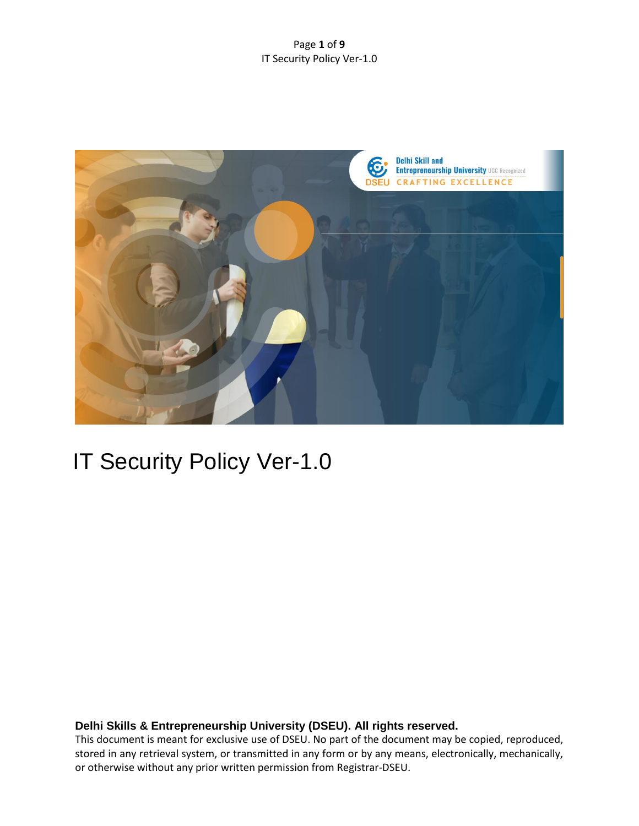#### Page **1** of **9** IT Security Policy Ver-1.0



# IT Security Policy Ver-1.0

## **Delhi Skills & Entrepreneurship University (DSEU). All rights reserved.**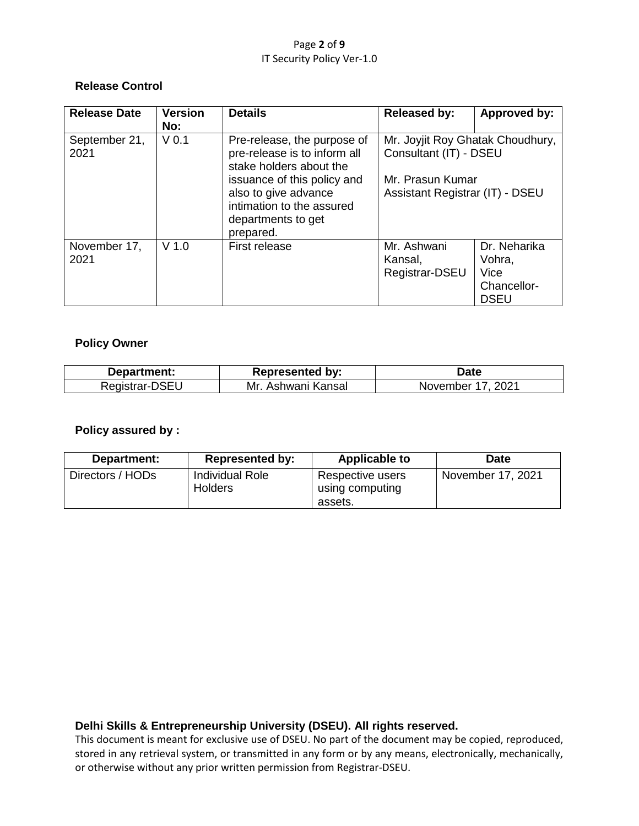#### Page **2** of **9** IT Security Policy Ver-1.0

## **Release Control**

| <b>Release Date</b>   | <b>Version</b><br>No: | <b>Details</b>                                                                                                      | <b>Released by:</b>                                        | Approved by:                                                        |  |
|-----------------------|-----------------------|---------------------------------------------------------------------------------------------------------------------|------------------------------------------------------------|---------------------------------------------------------------------|--|
| September 21,<br>2021 | V <sub>0.1</sub>      | Pre-release, the purpose of<br>pre-release is to inform all<br>stake holders about the                              | Mr. Joyjit Roy Ghatak Choudhury,<br>Consultant (IT) - DSEU |                                                                     |  |
|                       |                       | issuance of this policy and<br>also to give advance<br>intimation to the assured<br>departments to get<br>prepared. | Mr. Prasun Kumar<br>Assistant Registrar (IT) - DSEU        |                                                                     |  |
| November 17,<br>2021  | $V$ 1.0               | <b>First release</b>                                                                                                | Mr. Ashwani<br>Kansal,<br>Registrar-DSEU                   | Dr. Neharika<br>Vohra,<br><b>Vice</b><br>Chancellor-<br><b>DSEU</b> |  |

## **Policy Owner**

| Department:    | <b>Represented by:</b>  | Jate                 |
|----------------|-------------------------|----------------------|
| Registrar-DSEU | . Ashwani Kansal<br>Mr. | 2021<br>November 17. |

#### **Policy assured by :**

| Department:      | <b>Represented by:</b>            | <b>Applicable to</b>                           | <b>Date</b>       |
|------------------|-----------------------------------|------------------------------------------------|-------------------|
| Directors / HODs | Individual Role<br><b>Holders</b> | Respective users<br>using computing<br>assets. | November 17, 2021 |

## **Delhi Skills & Entrepreneurship University (DSEU). All rights reserved.**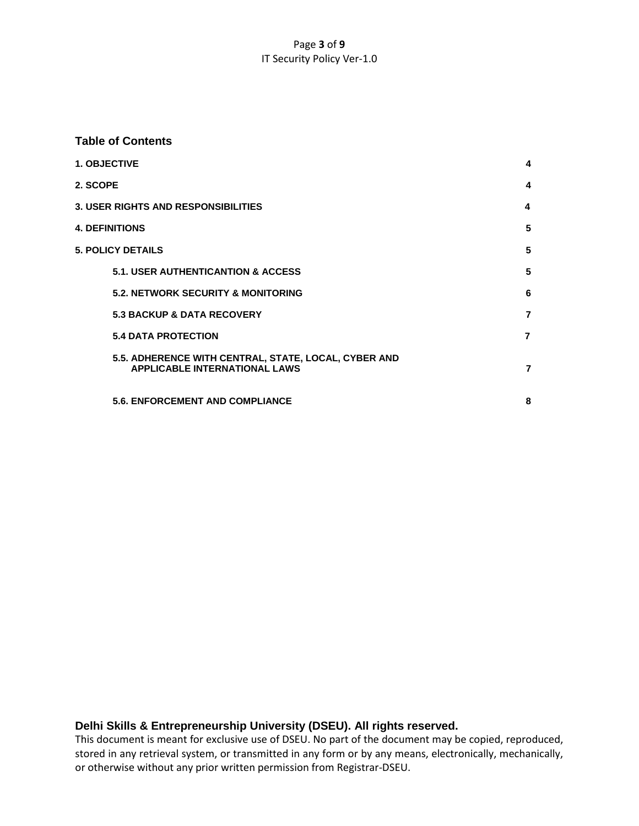#### Page **3** of **9** IT Security Policy Ver-1.0

#### **Table of Contents**

| <b>1. OBJECTIVE</b>   |                                                                                              | 4              |
|-----------------------|----------------------------------------------------------------------------------------------|----------------|
| 2. SCOPE              |                                                                                              | 4              |
|                       | <b>3. USER RIGHTS AND RESPONSIBILITIES</b>                                                   | 4              |
| <b>4. DEFINITIONS</b> |                                                                                              | 5              |
|                       | <b>5. POLICY DETAILS</b>                                                                     | 5              |
|                       | <b>5.1. USER AUTHENTICANTION &amp; ACCESS</b>                                                | 5              |
|                       | <b>5.2. NETWORK SECURITY &amp; MONITORING</b>                                                | 6              |
|                       | <b>5.3 BACKUP &amp; DATA RECOVERY</b>                                                        | $\overline{7}$ |
|                       | <b>5.4 DATA PROTECTION</b>                                                                   | $\overline{7}$ |
|                       | 5.5. ADHERENCE WITH CENTRAL, STATE, LOCAL, CYBER AND<br><b>APPLICABLE INTERNATIONAL LAWS</b> | $\overline{7}$ |
|                       | <b>5.6. ENFORCEMENT AND COMPLIANCE</b>                                                       | 8              |
|                       |                                                                                              |                |

## **Delhi Skills & Entrepreneurship University (DSEU). All rights reserved.**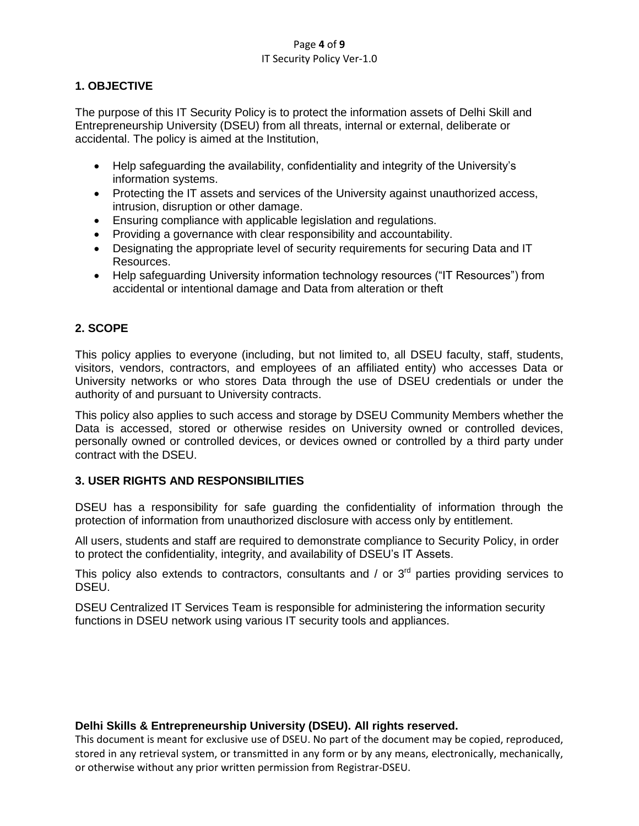#### Page **4** of **9** IT Security Policy Ver-1.0

## **1. OBJECTIVE**

The purpose of this IT Security Policy is to protect the information assets of Delhi Skill and Entrepreneurship University (DSEU) from all threats, internal or external, deliberate or accidental. The policy is aimed at the Institution,

- Help safeguarding the availability, confidentiality and integrity of the University's information systems.
- Protecting the IT assets and services of the University against unauthorized access, intrusion, disruption or other damage.
- Ensuring compliance with applicable legislation and regulations.
- Providing a governance with clear responsibility and accountability.
- Designating the appropriate level of security requirements for securing Data and IT Resources.
- Help safeguarding University information technology resources ("IT Resources") from accidental or intentional damage and Data from alteration or theft

## **2. SCOPE**

This policy applies to everyone (including, but not limited to, all DSEU faculty, staff, students, visitors, vendors, contractors, and employees of an affiliated entity) who accesses Data or University networks or who stores Data through the use of DSEU credentials or under the authority of and pursuant to University contracts.

This policy also applies to such access and storage by DSEU Community Members whether the Data is accessed, stored or otherwise resides on University owned or controlled devices, personally owned or controlled devices, or devices owned or controlled by a third party under contract with the DSEU.

## **3. USER RIGHTS AND RESPONSIBILITIES**

DSEU has a responsibility for safe guarding the confidentiality of information through the protection of information from unauthorized disclosure with access only by entitlement.

All users, students and staff are required to demonstrate compliance to Security Policy, in order to protect the confidentiality, integrity, and availability of DSEU's IT Assets.

This policy also extends to contractors, consultants and  $/$  or  $3<sup>rd</sup>$  parties providing services to DSEU.

DSEU Centralized IT Services Team is responsible for administering the information security functions in DSEU network using various IT security tools and appliances.

## **Delhi Skills & Entrepreneurship University (DSEU). All rights reserved.**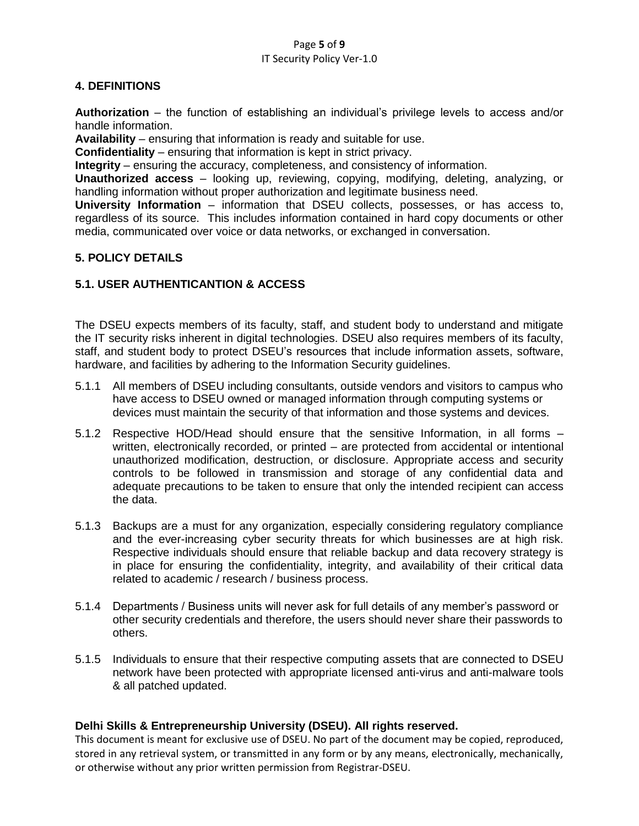#### Page **5** of **9** IT Security Policy Ver-1.0

## **4. DEFINITIONS**

**Authorization** – the function of establishing an individual's privilege levels to access and/or handle information.

**Availability** – ensuring that information is ready and suitable for use.

**Confidentiality** – ensuring that information is kept in strict privacy.

**Integrity** – ensuring the accuracy, completeness, and consistency of information.

**Unauthorized access** – looking up, reviewing, copying, modifying, deleting, analyzing, or handling information without proper authorization and legitimate business need.

**University Information** – information that DSEU collects, possesses, or has access to, regardless of its source. This includes information contained in hard copy documents or other media, communicated over voice or data networks, or exchanged in conversation.

## **5. POLICY DETAILS**

## **5.1. USER AUTHENTICANTION & ACCESS**

The DSEU expects members of its faculty, staff, and student body to understand and mitigate the IT security risks inherent in digital technologies. DSEU also requires members of its faculty, staff, and student body to protect DSEU's resources that include information assets, software, hardware, and facilities by adhering to the Information Security guidelines.

- 5.1.1 All members of DSEU including consultants, outside vendors and visitors to campus who have access to DSEU owned or managed information through computing systems or devices must maintain the security of that information and those systems and devices.
- 5.1.2 Respective HOD/Head should ensure that the sensitive Information, in all forms written, electronically recorded, or printed – are protected from accidental or intentional unauthorized modification, destruction, or disclosure. Appropriate access and security controls to be followed in transmission and storage of any confidential data and adequate precautions to be taken to ensure that only the intended recipient can access the data.
- 5.1.3 Backups are a must for any organization, especially considering regulatory compliance and the ever-increasing cyber security threats for which businesses are at high risk. Respective individuals should ensure that reliable backup and data recovery strategy is in place for ensuring the confidentiality, integrity, and availability of their critical data related to academic / research / business process.
- 5.1.4 Departments / Business units will never ask for full details of any member's password or other security credentials and therefore, the users should never share their passwords to others.
- 5.1.5 Individuals to ensure that their respective computing assets that are connected to DSEU network have been protected with appropriate licensed anti-virus and anti-malware tools & all patched updated.

## **Delhi Skills & Entrepreneurship University (DSEU). All rights reserved.**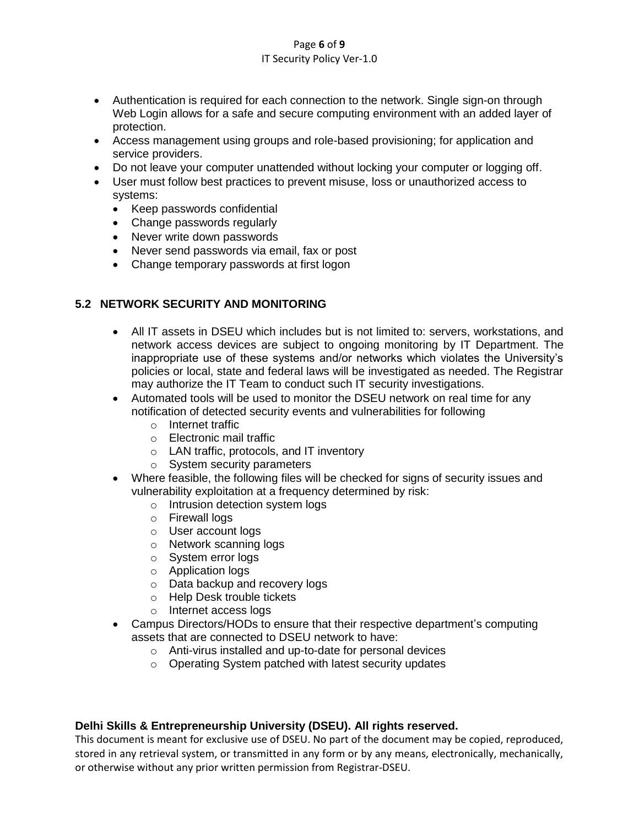#### Page **6** of **9** IT Security Policy Ver-1.0

- Authentication is required for each connection to the network. Single sign-on through Web Login allows for a safe and secure computing environment with an added layer of protection.
- Access management using groups and role-based provisioning; for application and service providers.
- Do not leave your computer unattended without locking your computer or logging off.
- User must follow best practices to prevent misuse, loss or unauthorized access to systems:
	- Keep passwords confidential
	- Change passwords regularly
	- Never write down passwords
	- Never send passwords via email, fax or post
	- Change temporary passwords at first logon

# **5.2 NETWORK SECURITY AND MONITORING**

- All IT assets in DSEU which includes but is not limited to: servers, workstations, and network access devices are subject to ongoing monitoring by IT Department. The inappropriate use of these systems and/or networks which violates the University's policies or local, state and federal laws will be investigated as needed. The Registrar may authorize the IT Team to conduct such IT security investigations.
- Automated tools will be used to monitor the DSEU network on real time for any notification of detected security events and vulnerabilities for following
	- o Internet traffic
	- o Electronic mail traffic
	- o LAN traffic, protocols, and IT inventory
	- o System security parameters
- Where feasible, the following files will be checked for signs of security issues and vulnerability exploitation at a frequency determined by risk:
	- o Intrusion detection system logs
	- o Firewall logs
	- o User account logs
	- o Network scanning logs
	- o System error logs
	- o Application logs
	- o Data backup and recovery logs
	- o Help Desk trouble tickets
	- o Internet access logs
- Campus Directors/HODs to ensure that their respective department's computing assets that are connected to DSEU network to have:
	- o Anti-virus installed and up-to-date for personal devices
	- o Operating System patched with latest security updates

# **Delhi Skills & Entrepreneurship University (DSEU). All rights reserved.**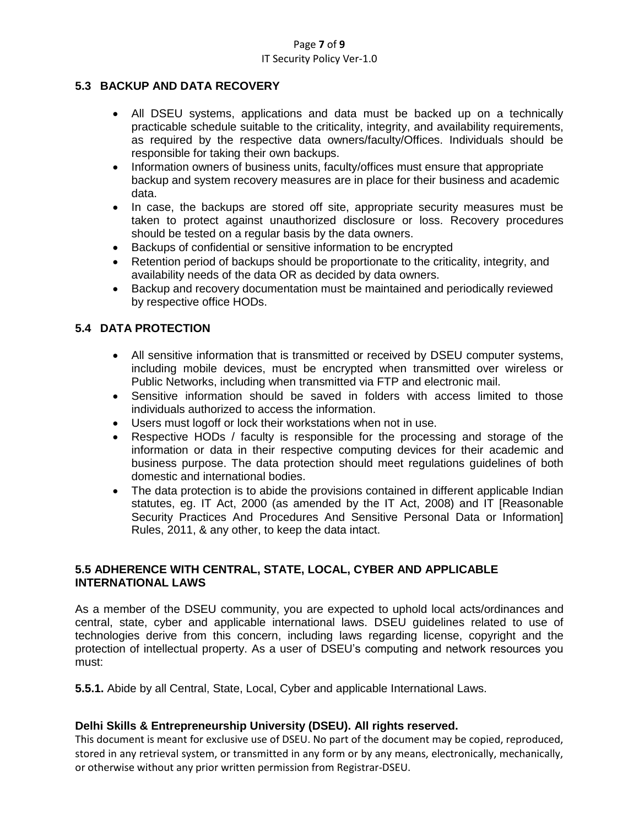#### Page **7** of **9** IT Security Policy Ver-1.0

## **5.3 BACKUP AND DATA RECOVERY**

- All DSEU systems, applications and data must be backed up on a technically practicable schedule suitable to the criticality, integrity, and availability requirements, as required by the respective data owners/faculty/Offices. Individuals should be responsible for taking their own backups.
- Information owners of business units, faculty/offices must ensure that appropriate backup and system recovery measures are in place for their business and academic data.
- In case, the backups are stored off site, appropriate security measures must be taken to protect against unauthorized disclosure or loss. Recovery procedures should be tested on a regular basis by the data owners.
- Backups of confidential or sensitive information to be encrypted
- Retention period of backups should be proportionate to the criticality, integrity, and availability needs of the data OR as decided by data owners.
- Backup and recovery documentation must be maintained and periodically reviewed by respective office HODs.

## **5.4 DATA PROTECTION**

- All sensitive information that is transmitted or received by DSEU computer systems, including mobile devices, must be encrypted when transmitted over wireless or Public Networks, including when transmitted via FTP and electronic mail.
- Sensitive information should be saved in folders with access limited to those individuals authorized to access the information.
- Users must logoff or lock their workstations when not in use.
- Respective HODs / faculty is responsible for the processing and storage of the information or data in their respective computing devices for their academic and business purpose. The data protection should meet regulations guidelines of both domestic and international bodies.
- The data protection is to abide the provisions contained in different applicable Indian statutes, eg. IT Act, 2000 (as amended by the IT Act, 2008) and IT [Reasonable Security Practices And Procedures And Sensitive Personal Data or Information] Rules, 2011, & any other, to keep the data intact.

## **5.5 ADHERENCE WITH CENTRAL, STATE, LOCAL, CYBER AND APPLICABLE INTERNATIONAL LAWS**

As a member of the DSEU community, you are expected to uphold local acts/ordinances and central, state, cyber and applicable international laws. DSEU guidelines related to use of technologies derive from this concern, including laws regarding license, copyright and the protection of intellectual property. As a user of DSEU's computing and network resources you must:

**5.5.1.** Abide by all Central, State, Local, Cyber and applicable International Laws.

## **Delhi Skills & Entrepreneurship University (DSEU). All rights reserved.**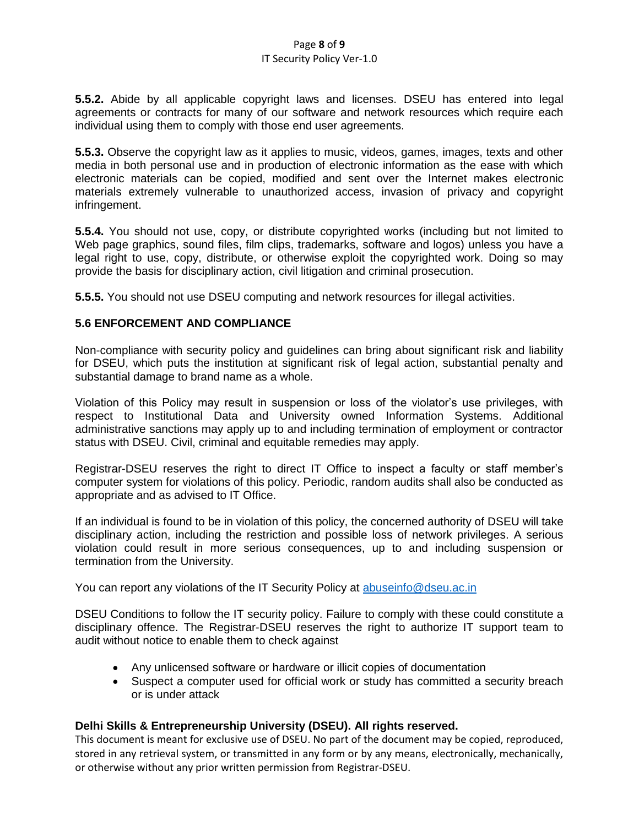**5.5.2.** Abide by all applicable copyright laws and licenses. DSEU has entered into legal agreements or contracts for many of our software and network resources which require each individual using them to comply with those end user agreements.

**5.5.3.** Observe the copyright law as it applies to music, videos, games, images, texts and other media in both personal use and in production of electronic information as the ease with which electronic materials can be copied, modified and sent over the Internet makes electronic materials extremely vulnerable to unauthorized access, invasion of privacy and copyright infringement.

**5.5.4.** You should not use, copy, or distribute copyrighted works (including but not limited to Web page graphics, sound files, film clips, trademarks, software and logos) unless you have a legal right to use, copy, distribute, or otherwise exploit the copyrighted work. Doing so may provide the basis for disciplinary action, civil litigation and criminal prosecution.

**5.5.5.** You should not use DSEU computing and network resources for illegal activities.

#### **5.6 ENFORCEMENT AND COMPLIANCE**

Non-compliance with security policy and guidelines can bring about significant risk and liability for DSEU, which puts the institution at significant risk of legal action, substantial penalty and substantial damage to brand name as a whole.

Violation of this Policy may result in suspension or loss of the violator's use privileges, with respect to Institutional Data and University owned Information Systems. Additional administrative sanctions may apply up to and including termination of employment or contractor status with DSEU. Civil, criminal and equitable remedies may apply.

Registrar-DSEU reserves the right to direct IT Office to inspect a faculty or staff member's computer system for violations of this policy. Periodic, random audits shall also be conducted as appropriate and as advised to IT Office.

If an individual is found to be in violation of this policy, the concerned authority of DSEU will take disciplinary action, including the restriction and possible loss of network privileges. A serious violation could result in more serious consequences, up to and including suspension or termination from the University.

You can report any violations of the IT Security Policy at [abuseinfo@dseu.ac.in](mailto:abuseinfo@dseu.ac.in)

DSEU Conditions to follow the IT security policy. Failure to comply with these could constitute a disciplinary offence. The Registrar-DSEU reserves the right to authorize IT support team to audit without notice to enable them to check against

- Any unlicensed software or hardware or illicit copies of documentation
- Suspect a computer used for official work or study has committed a security breach or is under attack

#### **Delhi Skills & Entrepreneurship University (DSEU). All rights reserved.**